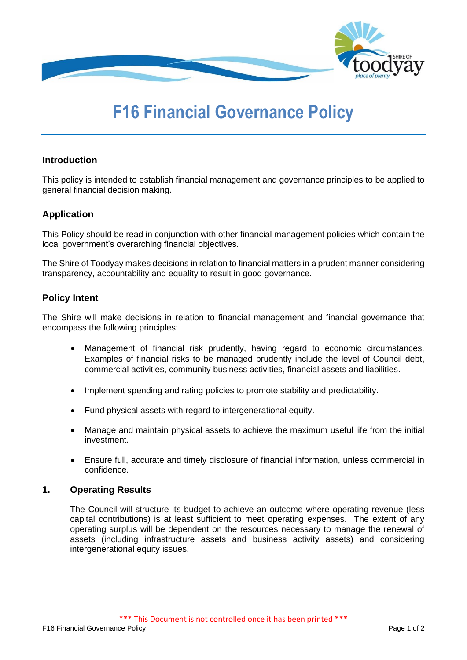

# **F16 Financial Governance Policy**

## **Introduction**

This policy is intended to establish financial management and governance principles to be applied to general financial decision making.

## **Application**

This Policy should be read in conjunction with other financial management policies which contain the local government's overarching financial objectives.

The Shire of Toodyay makes decisions in relation to financial matters in a prudent manner considering transparency, accountability and equality to result in good governance.

### **Policy Intent**

The Shire will make decisions in relation to financial management and financial governance that encompass the following principles:

- Management of financial risk prudently, having regard to economic circumstances. Examples of financial risks to be managed prudently include the level of Council debt, commercial activities, community business activities, financial assets and liabilities.
- Implement spending and rating policies to promote stability and predictability.
- Fund physical assets with regard to intergenerational equity.
- Manage and maintain physical assets to achieve the maximum useful life from the initial investment.
- Ensure full, accurate and timely disclosure of financial information, unless commercial in confidence.

### **1. Operating Results**

The Council will structure its budget to achieve an outcome where operating revenue (less capital contributions) is at least sufficient to meet operating expenses. The extent of any operating surplus will be dependent on the resources necessary to manage the renewal of assets (including infrastructure assets and business activity assets) and considering intergenerational equity issues.